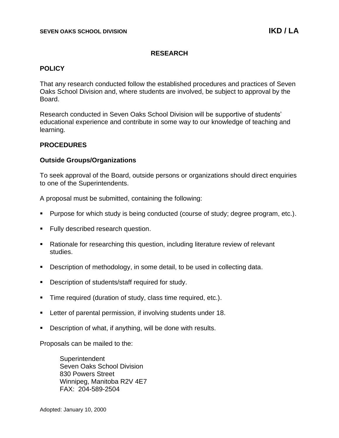# **RESEARCH**

# **POLICY**

That any research conducted follow the established procedures and practices of Seven Oaks School Division and, where students are involved, be subject to approval by the Board.

Research conducted in Seven Oaks School Division will be supportive of students' educational experience and contribute in some way to our knowledge of teaching and learning.

## **PROCEDURES**

## **Outside Groups/Organizations**

To seek approval of the Board, outside persons or organizations should direct enquiries to one of the Superintendents.

A proposal must be submitted, containing the following:

- Purpose for which study is being conducted (course of study; degree program, etc.).
- Fully described research question.
- Rationale for researching this question, including literature review of relevant studies.
- Description of methodology, in some detail, to be used in collecting data.
- Description of students/staff required for study.
- Time required (duration of study, class time required, etc.).
- Letter of parental permission, if involving students under 18.
- Description of what, if anything, will be done with results.

Proposals can be mailed to the:

**Superintendent** Seven Oaks School Division 830 Powers Street Winnipeg, Manitoba R2V 4E7 FAX: 204-589-2504